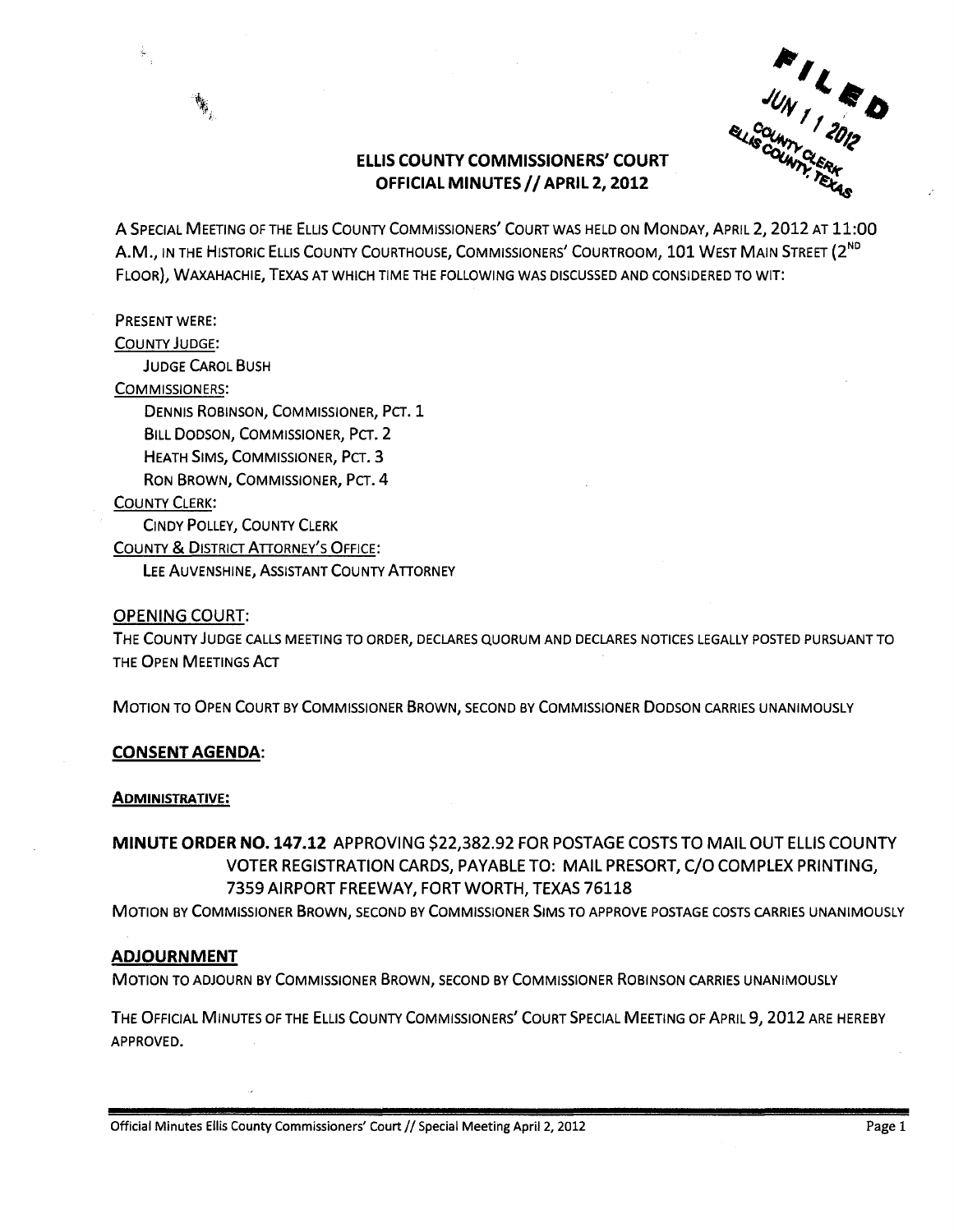

# ELLIS COUNTY COMMISSIONERS' COURT OFFICIAL MINUTES *1/* APRIL 2,2012

A SPECIAL MEETING OF THE ELLIS COUNTY COMMISSIONERS' COURT WAS HELD ON MONDAY, APRIL 2,2012 AT 11:00 A.M., IN THE HISTORIC ELLIS COUNTY COURTHOUSE, COMMISSIONERS' COURTROOM, 101 WEST MAIN STREET (2<sup>ND</sup> FLOOR), WAXAHACHIE, TEXAS AT WHICH TIME THE FOLLOWING WAS DISCUSSED AND CONSIDERED TO WIT:

## PRESENT WERE:

COUNTY JUDGE:

JUDGE CAROL BUSH

#### COMMISSIONERS:

DENNIS ROBINSON, COMMISSIONER, PCT. 1 BILL DODSON, COMMISSIONER, PCT. 2 HEATH SIMS, COMMISSIONER, PCT. 3 RON BROWN, COMMISSIONER, PCT. 4

## COUNTY CLERK:

CINDY POLLEY, COUNTY CLERK

COUNTY & DISTRICT ATTORNEY'S OFFICE:

LEE AUVENSHINE, ASSISTANT COUNTY ATTORNEY

### OPENING COURT:

THE COUNTY JUDGE CALLS MEETING TO ORDER, DECLARES QUORUM AND DECLARES NOTICES LEGALLY POSTED PURSUANT TO THE OPEN MEETINGS ACT

MOTION TO OPEN COURT BY COMMISSIONER BROWN, SECOND BY COMMISSIONER DODSON CARRIES UNANIMOUSLY

### CONSENT AGENDA:

### ADMINISTRATIVE:

MINUTE ORDER NO. 147.12 APPROVING \$22,382.92 FOR POSTAGE COSTS TO MAIL OUT ELLIS COUNTY VOTER REGISTRATION CARDS, PAYABLE TO: MAIL PRESORT, C/O COMPLEX PRINTING, 7359 AIRPORT FREEWAY, FORT WORTH, TEXAS 76118

MOTION BY COMMISSIONER BROWN, SECOND BY COMMISSIONER SIMS TO APPROVE POSTAGE COSTS CARRIES UNANIMOUSLY

### ADJOURNMENT

MOTION TO ADJOURN BY COMMISSIONER BROWN, SECOND BY COMMISSIONER ROBINSON CARRIES UNANIMOUSLY

THE OFFICIAL MINUTES OF THE ELLIS COUNTY COMMISSIONERS' COURT SPECIAL MEETING OF APRIL 9,2012 ARE HEREBY APPROVED.